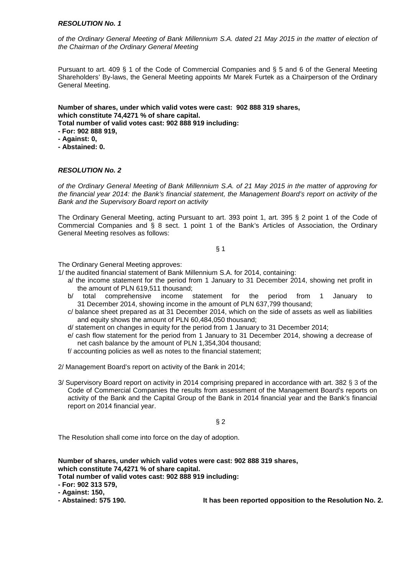of the Ordinary General Meeting of Bank Millennium S.A. dated 21 May 2015 in the matter of election of the Chairman of the Ordinary General Meeting

Pursuant to art. 409 § 1 of the Code of Commercial Companies and § 5 and 6 of the General Meeting Shareholders' By-laws, the General Meeting appoints Mr Marek Furtek as a Chairperson of the Ordinary General Meeting.

**Number of shares, under which valid votes were cast: 902 888 319 shares, which constitute 74,4271 % of share capital. Total number of valid votes cast: 902 888 919 including:** 

**- For: 902 888 919,** 

- **Against: 0,**
- **Abstained: 0.**

# **RESOLUTION No. 2**

of the Ordinary General Meeting of Bank Millennium S.A. of 21 May 2015 in the matter of approving for the financial year 2014: the Bank's financial statement, the Management Board's report on activity of the Bank and the Supervisory Board report on activity

The Ordinary General Meeting, acting Pursuant to art. 393 point 1, art. 395 § 2 point 1 of the Code of Commercial Companies and § 8 sect. 1 point 1 of the Bank's Articles of Association, the Ordinary General Meeting resolves as follows:

§ 1

The Ordinary General Meeting approves:

1/ the audited financial statement of Bank Millennium S.A. for 2014, containing:

- a/ the income statement for the period from 1 January to 31 December 2014, showing net profit in the amount of PLN 619,511 thousand;
- b/ total comprehensive income statement for the period from 1 January to 31 December 2014, showing income in the amount of PLN 637,799 thousand;
- c/ balance sheet prepared as at 31 December 2014, which on the side of assets as well as liabilities and equity shows the amount of PLN 60,484,050 thousand;
- d/ statement on changes in equity for the period from 1 January to 31 December 2014;
- e/ cash flow statement for the period from 1 January to 31 December 2014, showing a decrease of net cash balance by the amount of PLN 1,354,304 thousand;
- f/ accounting policies as well as notes to the financial statement;
- 2/ Management Board's report on activity of the Bank in 2014;
- 3/ Supervisory Board report on activity in 2014 comprising prepared in accordance with art. 382 § 3 of the Code of Commercial Companies the results from assessment of the Management Board's reports on activity of the Bank and the Capital Group of the Bank in 2014 financial year and the Bank's financial report on 2014 financial year.

§ 2

The Resolution shall come into force on the day of adoption.

**Number of shares, under which valid votes were cast: 902 888 319 shares, which constitute 74,4271 % of share capital.** 

- **Total number of valid votes cast: 902 888 919 including:**
- **For: 902 313 579,**

**- Abstained: 575 190. It has been reported opposition to the Resolution No. 2.** 

**<sup>-</sup> Against: 150,**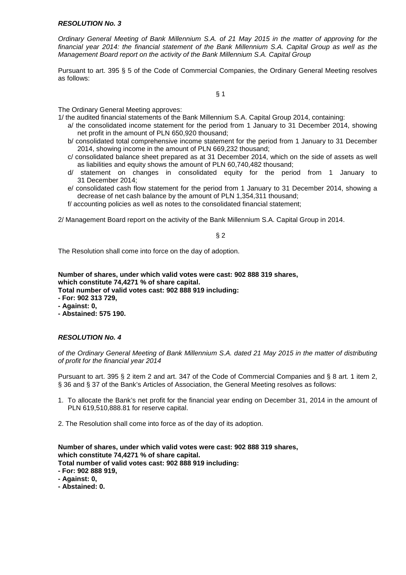Ordinary General Meeting of Bank Millennium S.A. of 21 May 2015 in the matter of approving for the financial year 2014: the financial statement of the Bank Millennium S.A. Capital Group as well as the Management Board report on the activity of the Bank Millennium S.A. Capital Group

Pursuant to art. 395 § 5 of the Code of Commercial Companies, the Ordinary General Meeting resolves as follows:

§ 1

The Ordinary General Meeting approves:

1/ the audited financial statements of the Bank Millennium S.A. Capital Group 2014, containing:

- a/ the consolidated income statement for the period from 1 January to 31 December 2014, showing net profit in the amount of PLN 650,920 thousand;
- b/ consolidated total comprehensive income statement for the period from 1 January to 31 December 2014, showing income in the amount of PLN 669,232 thousand;
- c/ consolidated balance sheet prepared as at 31 December 2014, which on the side of assets as well as liabilities and equity shows the amount of PLN 60,740,482 thousand;
- d/ statement on changes in consolidated equity for the period from 1 January to 31 December 2014;
- e/ consolidated cash flow statement for the period from 1 January to 31 December 2014, showing a decrease of net cash balance by the amount of PLN 1,354,311 thousand;
- f/ accounting policies as well as notes to the consolidated financial statement;

2/ Management Board report on the activity of the Bank Millennium S.A. Capital Group in 2014.

 $§$  2

The Resolution shall come into force on the day of adoption.

**Number of shares, under which valid votes were cast: 902 888 319 shares, which constitute 74,4271 % of share capital.** 

**Total number of valid votes cast: 902 888 919 including:** 

- **For: 902 313 729,**
- **Against: 0,**
- **Abstained: 575 190.**

# **RESOLUTION No. 4**

of the Ordinary General Meeting of Bank Millennium S.A. dated 21 May 2015 in the matter of distributing of profit for the financial year 2014

Pursuant to art. 395 § 2 item 2 and art. 347 of the Code of Commercial Companies and § 8 art. 1 item 2, § 36 and § 37 of the Bank's Articles of Association, the General Meeting resolves as follows:

- 1. To allocate the Bank's net profit for the financial year ending on December 31, 2014 in the amount of PLN 619,510,888.81 for reserve capital.
- 2. The Resolution shall come into force as of the day of its adoption.

**Number of shares, under which valid votes were cast: 902 888 319 shares, which constitute 74,4271 % of share capital. Total number of valid votes cast: 902 888 919 including:** 

**- For: 902 888 919,** 

- **Against: 0,**
- **Abstained: 0.**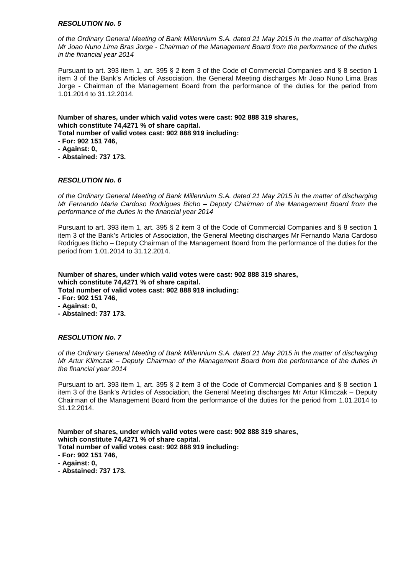of the Ordinary General Meeting of Bank Millennium S.A. dated 21 May 2015 in the matter of discharging Mr Joao Nuno Lima Bras Jorge - Chairman of the Management Board from the performance of the duties in the financial year 2014

Pursuant to art. 393 item 1, art. 395 § 2 item 3 of the Code of Commercial Companies and § 8 section 1 item 3 of the Bank's Articles of Association, the General Meeting discharges Mr Joao Nuno Lima Bras Jorge - Chairman of the Management Board from the performance of the duties for the period from 1.01.2014 to 31.12.2014.

**Number of shares, under which valid votes were cast: 902 888 319 shares, which constitute 74,4271 % of share capital.** 

**Total number of valid votes cast: 902 888 919 including:** 

**- For: 902 151 746,** 

- **Against: 0,**
- **Abstained: 737 173.**

# **RESOLUTION No. 6**

of the Ordinary General Meeting of Bank Millennium S.A. dated 21 May 2015 in the matter of discharging Mr Fernando Maria Cardoso Rodrigues Bicho – Deputy Chairman of the Management Board from the performance of the duties in the financial year 2014

Pursuant to art. 393 item 1, art. 395 § 2 item 3 of the Code of Commercial Companies and § 8 section 1 item 3 of the Bank's Articles of Association, the General Meeting discharges Mr Fernando Maria Cardoso Rodrigues Bicho – Deputy Chairman of the Management Board from the performance of the duties for the period from 1.01.2014 to 31.12.2014.

**Number of shares, under which valid votes were cast: 902 888 319 shares, which constitute 74,4271 % of share capital. Total number of valid votes cast: 902 888 919 including:** 

**- For: 902 151 746,** 

- **Against: 0,**
- **Abstained: 737 173.**

# **RESOLUTION No. 7**

of the Ordinary General Meeting of Bank Millennium S.A. dated 21 May 2015 in the matter of discharging Mr Artur Klimczak – Deputy Chairman of the Management Board from the performance of the duties in the financial year 2014

Pursuant to art. 393 item 1, art. 395 § 2 item 3 of the Code of Commercial Companies and § 8 section 1 item 3 of the Bank's Articles of Association, the General Meeting discharges Mr Artur Klimczak – Deputy Chairman of the Management Board from the performance of the duties for the period from 1.01.2014 to 31.12.2014.

- **For: 902 151 746,**
- **Against: 0,**
- **Abstained: 737 173.**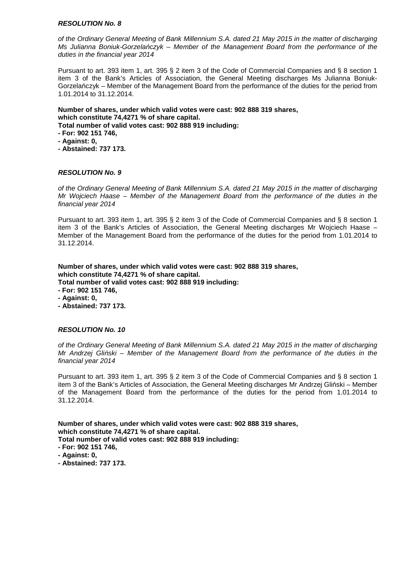of the Ordinary General Meeting of Bank Millennium S.A. dated 21 May 2015 in the matter of discharging Ms Julianna Boniuk-Gorzela*ń*czyk – Member of the Management Board from the performance of the duties in the financial year 2014

Pursuant to art. 393 item 1, art. 395 § 2 item 3 of the Code of Commercial Companies and § 8 section 1 item 3 of the Bank's Articles of Association, the General Meeting discharges Ms Julianna Boniuk-Gorzelańczyk – Member of the Management Board from the performance of the duties for the period from 1.01.2014 to 31.12.2014.

**Number of shares, under which valid votes were cast: 902 888 319 shares, which constitute 74,4271 % of share capital. Total number of valid votes cast: 902 888 919 including:** 

- **For: 902 151 746,**
- **Against: 0,**
- **Abstained: 737 173.**

# **RESOLUTION No. 9**

of the Ordinary General Meeting of Bank Millennium S.A. dated 21 May 2015 in the matter of discharging Mr Wojciech Haase – Member of the Management Board from the performance of the duties in the financial year 2014

Pursuant to art. 393 item 1, art. 395 § 2 item 3 of the Code of Commercial Companies and § 8 section 1 item 3 of the Bank's Articles of Association, the General Meeting discharges Mr Wojciech Haase – Member of the Management Board from the performance of the duties for the period from 1.01.2014 to 31.12.2014.

**Number of shares, under which valid votes were cast: 902 888 319 shares, which constitute 74,4271 % of share capital. Total number of valid votes cast: 902 888 919 including:** 

- **For: 902 151 746,**
- **Against: 0,**
- **Abstained: 737 173.**

# **RESOLUTION No. 10**

of the Ordinary General Meeting of Bank Millennium S.A. dated 21 May 2015 in the matter of discharging Mr Andrzej Gli*ń*ski – Member of the Management Board from the performance of the duties in the financial year 2014

Pursuant to art. 393 item 1, art. 395 § 2 item 3 of the Code of Commercial Companies and § 8 section 1 item 3 of the Bank's Articles of Association, the General Meeting discharges Mr Andrzej Gliński – Member of the Management Board from the performance of the duties for the period from 1.01.2014 to 31.12.2014.

- **For: 902 151 746,**
- **Against: 0,**
- **Abstained: 737 173.**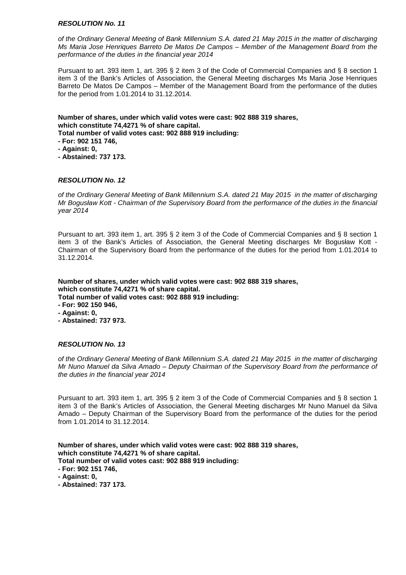of the Ordinary General Meeting of Bank Millennium S.A. dated 21 May 2015 in the matter of discharging Ms Maria Jose Henriques Barreto De Matos De Campos – Member of the Management Board from the performance of the duties in the financial year 2014

Pursuant to art. 393 item 1, art. 395 § 2 item 3 of the Code of Commercial Companies and § 8 section 1 item 3 of the Bank's Articles of Association, the General Meeting discharges Ms Maria Jose Henriques Barreto De Matos De Campos – Member of the Management Board from the performance of the duties for the period from 1.01.2014 to 31.12.2014.

**Number of shares, under which valid votes were cast: 902 888 319 shares, which constitute 74,4271 % of share capital.** 

**Total number of valid votes cast: 902 888 919 including:** 

**- For: 902 151 746,** 

- **Against: 0,**
- **Abstained: 737 173.**

# **RESOLUTION No. 12**

of the Ordinary General Meeting of Bank Millennium S.A. dated 21 May 2015 in the matter of discharging Mr Bogusław Kott - Chairman of the Supervisory Board from the performance of the duties in the financial year 2014

Pursuant to art. 393 item 1, art. 395 § 2 item 3 of the Code of Commercial Companies and § 8 section 1 item 3 of the Bank's Articles of Association, the General Meeting discharges Mr Bogusław Kott - Chairman of the Supervisory Board from the performance of the duties for the period from 1.01.2014 to 31.12.2014.

**Number of shares, under which valid votes were cast: 902 888 319 shares, which constitute 74,4271 % of share capital. Total number of valid votes cast: 902 888 919 including:** 

- **For: 902 150 946,**
- **Against: 0,**
- **Abstained: 737 973.**

# **RESOLUTION No. 13**

of the Ordinary General Meeting of Bank Millennium S.A. dated 21 May 2015 in the matter of discharging Mr Nuno Manuel da Silva Amado – Deputy Chairman of the Supervisory Board from the performance of the duties in the financial year 2014

Pursuant to art. 393 item 1, art. 395 § 2 item 3 of the Code of Commercial Companies and § 8 section 1 item 3 of the Bank's Articles of Association, the General Meeting discharges Mr Nuno Manuel da Silva Amado – Deputy Chairman of the Supervisory Board from the performance of the duties for the period from 1.01.2014 to 31.12.2014.

- **For: 902 151 746,**
- **Against: 0,**
- **Abstained: 737 173.**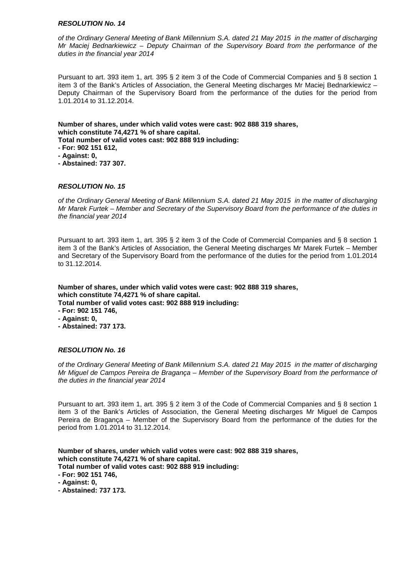of the Ordinary General Meeting of Bank Millennium S.A. dated 21 May 2015 in the matter of discharging Mr Maciej Bednarkiewicz – Deputy Chairman of the Supervisory Board from the performance of the duties in the financial year 2014

Pursuant to art. 393 item 1, art. 395 § 2 item 3 of the Code of Commercial Companies and § 8 section 1 item 3 of the Bank's Articles of Association, the General Meeting discharges Mr Maciej Bednarkiewicz – Deputy Chairman of the Supervisory Board from the performance of the duties for the period from 1.01.2014 to 31.12.2014.

**Number of shares, under which valid votes were cast: 902 888 319 shares, which constitute 74,4271 % of share capital.** 

- **Total number of valid votes cast: 902 888 919 including:**
- **For: 902 151 612,**
- **Against: 0,**
- **Abstained: 737 307.**

# **RESOLUTION No. 15**

of the Ordinary General Meeting of Bank Millennium S.A. dated 21 May 2015 in the matter of discharging Mr Marek Furtek – Member and Secretary of the Supervisory Board from the performance of the duties in the financial year 2014

Pursuant to art. 393 item 1, art. 395 § 2 item 3 of the Code of Commercial Companies and § 8 section 1 item 3 of the Bank's Articles of Association, the General Meeting discharges Mr Marek Furtek – Member and Secretary of the Supervisory Board from the performance of the duties for the period from 1.01.2014 to 31.12.2014.

**Number of shares, under which valid votes were cast: 902 888 319 shares, which constitute 74,4271 % of share capital. Total number of valid votes cast: 902 888 919 including: - For: 902 151 746,** 

- **Against: 0,**
- **Abstained: 737 173.**

#### **RESOLUTION No. 16**

of the Ordinary General Meeting of Bank Millennium S.A. dated 21 May 2015 in the matter of discharging Mr Miguel de Campos Pereira de Bragança – Member of the Supervisory Board from the performance of the duties in the financial year 2014

Pursuant to art. 393 item 1, art. 395 § 2 item 3 of the Code of Commercial Companies and § 8 section 1 item 3 of the Bank's Articles of Association, the General Meeting discharges Mr Miguel de Campos Pereira de Bragança – Member of the Supervisory Board from the performance of the duties for the period from 1.01.2014 to 31.12.2014.

- **For: 902 151 746,**
- **Against: 0,**
- **Abstained: 737 173.**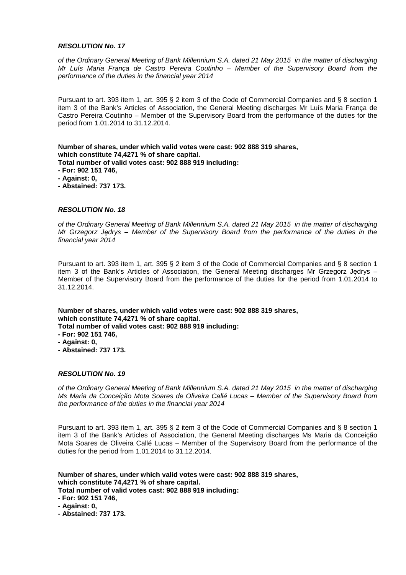of the Ordinary General Meeting of Bank Millennium S.A. dated 21 May 2015 in the matter of discharging Mr Luís Maria França de Castro Pereira Coutinho – Member of the Supervisory Board from the performance of the duties in the financial year 2014

Pursuant to art. 393 item 1, art. 395 § 2 item 3 of the Code of Commercial Companies and § 8 section 1 item 3 of the Bank's Articles of Association, the General Meeting discharges Mr Luís Maria França de Castro Pereira Coutinho – Member of the Supervisory Board from the performance of the duties for the period from 1.01.2014 to 31.12.2014.

**Number of shares, under which valid votes were cast: 902 888 319 shares, which constitute 74,4271 % of share capital. Total number of valid votes cast: 902 888 919 including: - For: 902 151 746,** 

- **Against: 0,**
- **Abstained: 737 173.**

#### **RESOLUTION No. 18**

of the Ordinary General Meeting of Bank Millennium S.A. dated 21 May 2015 in the matter of discharging Mr Grzegorz J*ę*drys – Member of the Supervisory Board from the performance of the duties in the financial year 2014

Pursuant to art. 393 item 1, art. 395 § 2 item 3 of the Code of Commercial Companies and § 8 section 1 item 3 of the Bank's Articles of Association, the General Meeting discharges Mr Grzegorz Jędrys – Member of the Supervisory Board from the performance of the duties for the period from 1.01.2014 to 31.12.2014.

**Number of shares, under which valid votes were cast: 902 888 319 shares, which constitute 74,4271 % of share capital.** 

- **Total number of valid votes cast: 902 888 919 including:**
- **For: 902 151 746,**
- **Against: 0,**
- **Abstained: 737 173.**

#### **RESOLUTION No. 19**

of the Ordinary General Meeting of Bank Millennium S.A. dated 21 May 2015 in the matter of discharging Ms Maria da Conceição Mota Soares de Oliveira Callé Lucas – Member of the Supervisory Board from the performance of the duties in the financial year 2014

Pursuant to art. 393 item 1, art. 395 § 2 item 3 of the Code of Commercial Companies and § 8 section 1 item 3 of the Bank's Articles of Association, the General Meeting discharges Ms Maria da Conceição Mota Soares de Oliveira Callé Lucas – Member of the Supervisory Board from the performance of the duties for the period from 1.01.2014 to 31.12.2014.

**Number of shares, under which valid votes were cast: 902 888 319 shares, which constitute 74,4271 % of share capital. Total number of valid votes cast: 902 888 919 including:** 

**- For: 902 151 746,** 

**- Against: 0,** 

**- Abstained: 737 173.**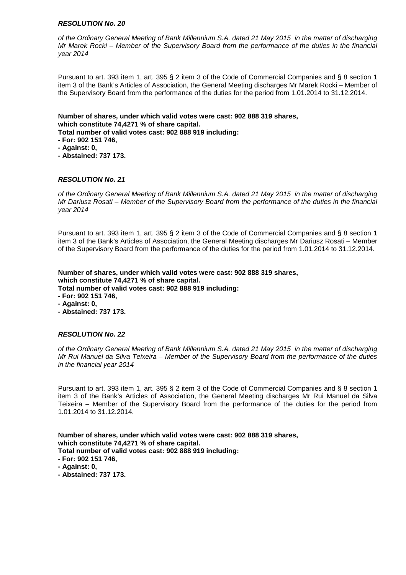of the Ordinary General Meeting of Bank Millennium S.A. dated 21 May 2015 in the matter of discharging Mr Marek Rocki – Member of the Supervisory Board from the performance of the duties in the financial year 2014

Pursuant to art. 393 item 1, art. 395 § 2 item 3 of the Code of Commercial Companies and § 8 section 1 item 3 of the Bank's Articles of Association, the General Meeting discharges Mr Marek Rocki – Member of the Supervisory Board from the performance of the duties for the period from 1.01.2014 to 31.12.2014.

**Number of shares, under which valid votes were cast: 902 888 319 shares, which constitute 74,4271 % of share capital.** 

**Total number of valid votes cast: 902 888 919 including:** 

**- For: 902 151 746,** 

- **Against: 0,**
- **Abstained: 737 173.**

# **RESOLUTION No. 21**

of the Ordinary General Meeting of Bank Millennium S.A. dated 21 May 2015 in the matter of discharging Mr Dariusz Rosati – Member of the Supervisory Board from the performance of the duties in the financial year 2014

Pursuant to art. 393 item 1, art. 395 § 2 item 3 of the Code of Commercial Companies and § 8 section 1 item 3 of the Bank's Articles of Association, the General Meeting discharges Mr Dariusz Rosati – Member of the Supervisory Board from the performance of the duties for the period from 1.01.2014 to 31.12.2014.

**Number of shares, under which valid votes were cast: 902 888 319 shares, which constitute 74,4271 % of share capital.** 

**Total number of valid votes cast: 902 888 919 including:** 

- **For: 902 151 746,**
- **Against: 0,**
- **Abstained: 737 173.**

# **RESOLUTION No. 22**

of the Ordinary General Meeting of Bank Millennium S.A. dated 21 May 2015 in the matter of discharging Mr Rui Manuel da Silva Teixeira – Member of the Supervisory Board from the performance of the duties in the financial year 2014

Pursuant to art. 393 item 1, art. 395 § 2 item 3 of the Code of Commercial Companies and § 8 section 1 item 3 of the Bank's Articles of Association, the General Meeting discharges Mr Rui Manuel da Silva Teixeira – Member of the Supervisory Board from the performance of the duties for the period from 1.01.2014 to 31.12.2014.

- **For: 902 151 746,**
- **Against: 0,**
- **Abstained: 737 173.**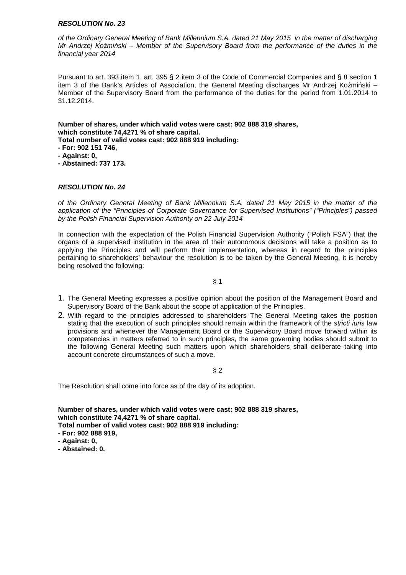of the Ordinary General Meeting of Bank Millennium S.A. dated 21 May 2015 in the matter of discharging Mr Andrzej Ko*ź*mi*ń*ski – Member of the Supervisory Board from the performance of the duties in the financial year 2014

Pursuant to art. 393 item 1, art. 395 § 2 item 3 of the Code of Commercial Companies and § 8 section 1 item 3 of the Bank's Articles of Association, the General Meeting discharges Mr Andrzej Koźmiński – Member of the Supervisory Board from the performance of the duties for the period from 1.01.2014 to 31.12.2014.

**Number of shares, under which valid votes were cast: 902 888 319 shares, which constitute 74,4271 % of share capital.** 

- **Total number of valid votes cast: 902 888 919 including:**
- **For: 902 151 746,**
- **Against: 0,**
- **Abstained: 737 173.**

# **RESOLUTION No. 24**

of the Ordinary General Meeting of Bank Millennium S.A. dated 21 May 2015 in the matter of the application of the "Principles of Corporate Governance for Supervised Institutions" ("Principles") passed by the Polish Financial Supervision Authority on 22 July 2014

In connection with the expectation of the Polish Financial Supervision Authority ("Polish FSA") that the organs of a supervised institution in the area of their autonomous decisions will take a position as to applying the Principles and will perform their implementation, whereas in regard to the principles pertaining to shareholders' behaviour the resolution is to be taken by the General Meeting, it is hereby being resolved the following:

# § 1

- 1. The General Meeting expresses a positive opinion about the position of the Management Board and Supervisory Board of the Bank about the scope of application of the Principles.
- 2. With regard to the principles addressed to shareholders The General Meeting takes the position stating that the execution of such principles should remain within the framework of the stricti iuris law provisions and whenever the Management Board or the Supervisory Board move forward within its competencies in matters referred to in such principles, the same governing bodies should submit to the following General Meeting such matters upon which shareholders shall deliberate taking into account concrete circumstances of such a move.

# § 2

The Resolution shall come into force as of the day of its adoption.

- **For: 902 888 919,**
- **Against: 0,**
- **Abstained: 0.**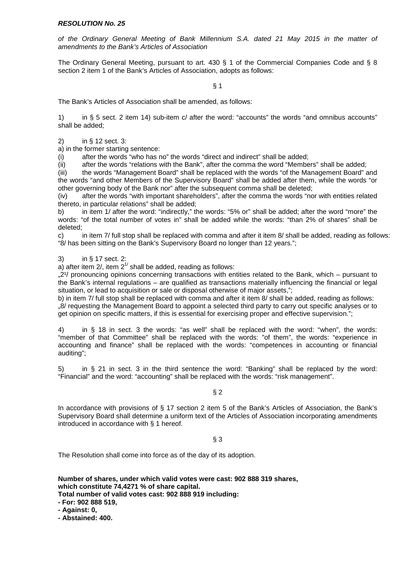of the Ordinary General Meeting of Bank Millennium S.A. dated 21 May 2015 in the matter of amendments to the Bank's Articles of Association

 The Ordinary General Meeting, pursuant to art. 430 § 1 of the Commercial Companies Code and § 8 section 2 item 1 of the Bank's Articles of Association, adopts as follows:

 $§$  1

The Bank's Articles of Association shall be amended, as follows:

1) in § 5 sect. 2 item 14) sub-item c/ after the word: "accounts" the words "and omnibus accounts" shall be added;

2) in § 12 sect. 3:

a) in the former starting sentence:

(i) after the words "who has no" the words "direct and indirect" shall be added;

(ii) after the words "relations with the Bank", after the comma the word "Members" shall be added;

(iii) the words "Management Board" shall be replaced with the words "of the Management Board" and the words "and other Members of the Supervisory Board" shall be added after them, while the words "or other governing body of the Bank nor" after the subsequent comma shall be deleted;

(iv) after the words "with important shareholders", after the comma the words "nor with entities related thereto, in particular relations" shall be added;

b) in item 1/ after the word: "indirectly," the words: "5% or" shall be added; after the word "more" the words: "of the total number of votes in" shall be added while the words: "than 2% of shares" shall be deleted;

c) in item 7/ full stop shall be replaced with comma and after it item 8/ shall be added, reading as follows: "8/ has been sitting on the Bank's Supervisory Board no longer than 12 years.";

3) in § 17 sect. 2:

a) after item 2/, item  $2^{1/2}$  shall be added, reading as follows:

...2<sup>1</sup>/ pronouncing opinions concerning transactions with entities related to the Bank, which – pursuant to the Bank's internal regulations – are qualified as transactions materially influencing the financial or legal situation, or lead to acquisition or sale or disposal otherwise of major assets,";

b) in item 7/ full stop shall be replaced with comma and after it item 8/ shall be added, reading as follows: "8/ requesting the Management Board to appoint a selected third party to carry out specific analyses or to get opinion on specific matters, if this is essential for exercising proper and effective supervision.";

4) in § 18 in sect. 3 the words: "as well" shall be replaced with the word: "when", the words: "member of that Committee" shall be replaced with the words: "of them", the words: "experience in accounting and finance" shall be replaced with the words: "competences in accounting or financial auditing";

5) in § 21 in sect. 3 in the third sentence the word: "Banking" shall be replaced by the word: "Financial" and the word: "accounting" shall be replaced with the words: "risk management".

# $§$  2

In accordance with provisions of § 17 section 2 item 5 of the Bank's Articles of Association, the Bank's Supervisory Board shall determine a uniform text of the Articles of Association incorporating amendments introduced in accordance with § 1 hereof.

§ 3

The Resolution shall come into force as of the day of its adoption.

**Number of shares, under which valid votes were cast: 902 888 319 shares, which constitute 74,4271 % of share capital. Total number of valid votes cast: 902 888 919 including:** 

**- For: 902 888 519,** 

**- Against: 0,** 

**- Abstained: 400.**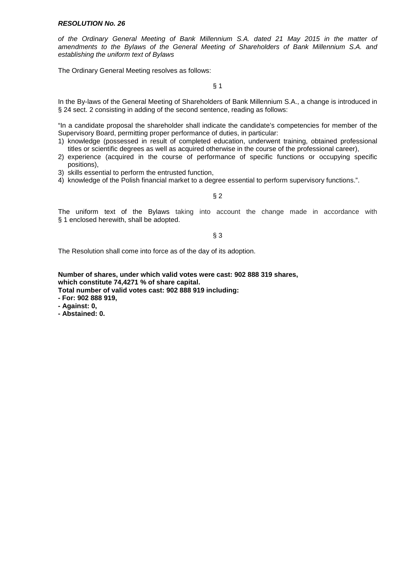of the Ordinary General Meeting of Bank Millennium S.A. dated 21 May 2015 in the matter of amendments to the Bylaws of the General Meeting of Shareholders of Bank Millennium S.A. and establishing the uniform text of Bylaws

The Ordinary General Meeting resolves as follows:

§ 1

In the By-laws of the General Meeting of Shareholders of Bank Millennium S.A., a change is introduced in § 24 sect. 2 consisting in adding of the second sentence, reading as follows:

"In a candidate proposal the shareholder shall indicate the candidate's competencies for member of the Supervisory Board, permitting proper performance of duties, in particular:

- 1) knowledge (possessed in result of completed education, underwent training, obtained professional titles or scientific degrees as well as acquired otherwise in the course of the professional career),
- 2) experience (acquired in the course of performance of specific functions or occupying specific positions),
- 3) skills essential to perform the entrusted function,
- 4) knowledge of the Polish financial market to a degree essential to perform supervisory functions.".

# § 2

The uniform text of the Bylaws taking into account the change made in accordance with § 1 enclosed herewith, shall be adopted.

§ 3

The Resolution shall come into force as of the day of its adoption.

**Number of shares, under which valid votes were cast: 902 888 319 shares, which constitute 74,4271 % of share capital.** 

**Total number of valid votes cast: 902 888 919 including:** 

**- For: 902 888 919,** 

**- Against: 0,** 

**- Abstained: 0.**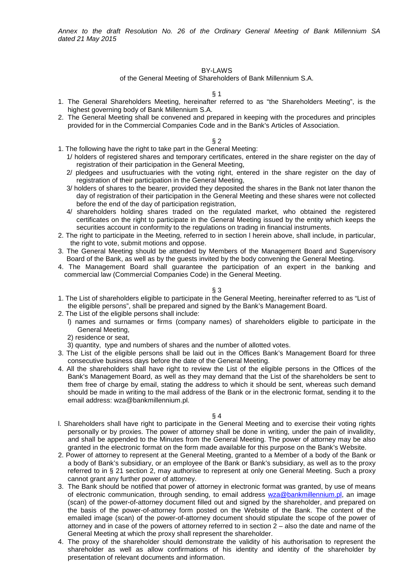Annex to the draft Resolution No. 26 of the Ordinary General Meeting of Bank Millennium SA dated 21 May 2015

# BY-LAWS

of the General Meeting of Shareholders of Bank Millennium S.A.

§ 1

- 1. The General Shareholders Meeting, hereinafter referred to as "the Shareholders Meeting", is the highest governing body of Bank Millennium S.A.
- 2. The General Meeting shall be convened and prepared in keeping with the procedures and principles provided for in the Commercial Companies Code and in the Bank's Articles of Association.

# § 2

- 1. The following have the right to take part in the General Meeting:
	- 1/ holders of registered shares and temporary certificates, entered in the share register on the day of registration of their participation in the General Meeting,
	- 2/ pledgees and usufructuaries with the voting right, entered in the share register on the day of registration of their participation in the General Meeting,
	- 3/ holders of shares to the bearer, provided they deposited the shares in the Bank not later thanon the day of registration of their participation in the General Meeting and these shares were not collected before the end of the day of participation registration,
	- 4/ shareholders holding shares traded on the regulated market, who obtained the registered certificates on the right to participate in the General Meeting issued by the entity which keeps the securities account in conformity to the regulations on trading in financial instruments.
- 2. The right to participate in the Meeting, referred to in section l herein above, shall include, in particular, the right to vote, submit motions and oppose.
- 3. The General Meeting should be attended by Members of the Management Board and Supervisory Board of the Bank, as well as by the guests invited by the body convening the General Meeting.
- 4. The Management Board shall guarantee the participation of an expert in the banking and commercial law (Commercial Companies Code) in the General Meeting.

# § 3

- 1. The List of shareholders eligible to participate in the General Meeting, hereinafter referred to as "List of the eligible persons", shall be prepared and signed by the Bank's Management Board.
- 2. The List of the eligible persons shall include:
	- l) names and surnames or firms (company names) of shareholders eligible to participate in the General Meeting,
	- 2) residence or seat,
	- 3) quantity, type and numbers of shares and the number of allotted votes.
- 3. The List of the eligible persons shall be laid out in the Offices Bank's Management Board for three consecutive business days before the date of the General Meeting.
- 4. All the shareholders shall have right to review the List of the eligible persons in the Offices of the Bank's Management Board, as well as they may demand that the List of the shareholders be sent to them free of charge by email, stating the address to which it should be sent, whereas such demand should be made in writing to the mail address of the Bank or in the electronic format, sending it to the email address: wza@bankmillennium.pl.

- l. Shareholders shall have right to participate in the General Meeting and to exercise their voting rights personally or by proxies. The power of attorney shall be done in writing, under the pain of invalidity, and shall be appended to the Minutes from the General Meeting. The power of attorney may be also granted in the electronic format on the form made available for this purpose on the Bank's Website.
- 2. Power of attorney to represent at the General Meeting, granted to a Member of a body of the Bank or a body of Bank's subsidiary, or an employee of the Bank or Bank's subsidiary, as well as to the proxy referred to in § 21 section 2, may authorise to represent at only one General Meeting. Such a proxy cannot grant any further power of attorney.
- 3. The Bank should be notified that power of attorney in electronic format was granted, by use of means of electronic communication, through sending, to email address wza@bankmillennium.pl, an image (scan) of the power-of-attorney document filled out and signed by the shareholder, and prepared on the basis of the power-of-attorney form posted on the Website of the Bank. The content of the emailed image (scan) of the power-of-attorney document should stipulate the scope of the power of attorney and in case of the powers of attorney referred to in section 2 – also the date and name of the General Meeting at which the proxy shall represent the shareholder.
- 4. The proxy of the shareholder should demonstrate the validity of his authorisation to represent the shareholder as well as allow confirmations of his identity and identity of the shareholder by presentation of relevant documents and information.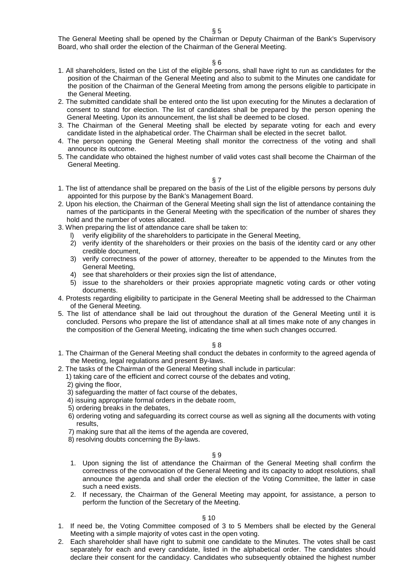The General Meeting shall be opened by the Chairman or Deputy Chairman of the Bank's Supervisory Board, who shall order the election of the Chairman of the General Meeting.

# § 6

- 1. All shareholders, listed on the List of the eligible persons, shall have right to run as candidates for the position of the Chairman of the General Meeting and also to submit to the Minutes one candidate for the position of the Chairman of the General Meeting from among the persons eligible to participate in the General Meeting.
- 2. The submitted candidate shall be entered onto the list upon executing for the Minutes a declaration of consent to stand for election. The list of candidates shall be prepared by the person opening the General Meeting. Upon its announcement, the list shall be deemed to be closed.
- 3. The Chairman of the General Meeting shall be elected by separate voting for each and every candidate listed in the alphabetical order. The Chairman shall be elected in the secret ballot.
- 4. The person opening the General Meeting shall monitor the correctness of the voting and shall announce its outcome.
- 5. The candidate who obtained the highest number of valid votes cast shall become the Chairman of the General Meeting.

# § 7

- 1. The list of attendance shall be prepared on the basis of the List of the eligible persons by persons duly appointed for this purpose by the Bank's Management Board.
- 2. Upon his election, the Chairman of the General Meeting shall sign the list of attendance containing the names of the participants in the General Meeting with the specification of the number of shares they hold and the number of votes allocated.
- 3. When preparing the list of attendance care shall be taken to:
	- l) verify eligibility of the shareholders to participate in the General Meeting,
	- 2) verify identity of the shareholders or their proxies on the basis of the identity card or any other credible document,
	- 3) verify correctness of the power of attorney, thereafter to be appended to the Minutes from the General Meeting,
	- 4) see that shareholders or their proxies sign the list of attendance,
	- 5) issue to the shareholders or their proxies appropriate magnetic voting cards or other voting documents.
- 4. Protests regarding eligibility to participate in the General Meeting shall be addressed to the Chairman of the General Meeting.
- 5. The list of attendance shall be laid out throughout the duration of the General Meeting until it is concluded. Persons who prepare the list of attendance shall at all times make note of any changes in the composition of the General Meeting, indicating the time when such changes occurred.

#### § 8

- 1. The Chairman of the General Meeting shall conduct the debates in conformity to the agreed agenda of the Meeting, legal regulations and present By-laws.
- 2. The tasks of the Chairman of the General Meeting shall include in particular:
	- 1) taking care of the efficient and correct course of the debates and voting,
	- 2) giving the floor,
	- 3) safeguarding the matter of fact course of the debates,
	- 4) issuing appropriate formal orders in the debate room,
	- 5) ordering breaks in the debates,
	- 6) ordering voting and safeguarding its correct course as well as signing all the documents with voting results,
	- 7) making sure that all the items of the agenda are covered,
	- 8) resolving doubts concerning the By-laws.

# § 9

- 1. Upon signing the list of attendance the Chairman of the General Meeting shall confirm the correctness of the convocation of the General Meeting and its capacity to adopt resolutions, shall announce the agenda and shall order the election of the Voting Committee, the latter in case such a need exists.
- 2. If necessary, the Chairman of the General Meeting may appoint, for assistance, a person to perform the function of the Secretary of the Meeting.

#### $\S 10$

- 1. If need be, the Voting Committee composed of 3 to 5 Members shall be elected by the General Meeting with a simple majority of votes cast in the open voting.
- 2. Each shareholder shall have right to submit one candidate to the Minutes. The votes shall be cast separately for each and every candidate, listed in the alphabetical order. The candidates should declare their consent for the candidacy. Candidates who subsequently obtained the highest number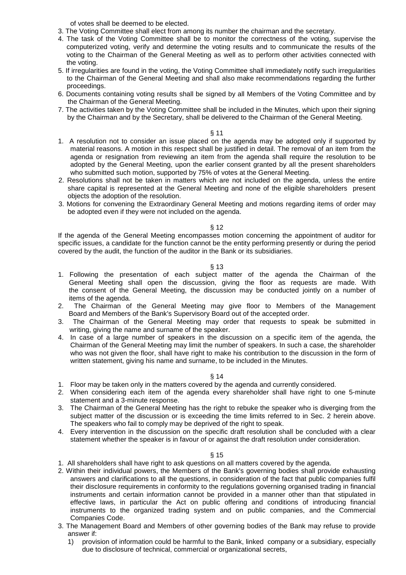of votes shall be deemed to be elected.

- 3. The Voting Committee shall elect from among its number the chairman and the secretary.
- 4. The task of the Voting Committee shall be to monitor the correctness of the voting, supervise the computerized voting, verify and determine the voting results and to communicate the results of the voting to the Chairman of the General Meeting as well as to perform other activities connected with the voting.
- 5. If irregularities are found in the voting, the Voting Committee shall immediately notify such irregularities to the Chairman of the General Meeting and shall also make recommendations regarding the further proceedings.
- 6. Documents containing voting results shall be signed by all Members of the Voting Committee and by the Chairman of the General Meeting.
- 7. The activities taken by the Voting Committee shall be included in the Minutes, which upon their signing by the Chairman and by the Secretary, shall be delivered to the Chairman of the General Meeting.

### § 11

- 1. A resolution not to consider an issue placed on the agenda may be adopted only if supported by material reasons. A motion in this respect shall be justified in detail. The removal of an item from the agenda or resignation from reviewing an item from the agenda shall require the resolution to be adopted by the General Meeting, upon the earlier consent granted by all the present shareholders who submitted such motion, supported by 75% of votes at the General Meeting.
- 2. Resolutions shall not be taken in matters which are not included on the agenda, unless the entire share capital is represented at the General Meeting and none of the eligible shareholders present objects the adoption of the resolution.
- 3. Motions for convening the Extraordinary General Meeting and motions regarding items of order may be adopted even if they were not included on the agenda.

#### § 12

If the agenda of the General Meeting encompasses motion concerning the appointment of auditor for specific issues, a candidate for the function cannot be the entity performing presently or during the period covered by the audit, the function of the auditor in the Bank or its subsidiaries.

#### § 13

- 1. Following the presentation of each subject matter of the agenda the Chairman of the General Meeting shall open the discussion, giving the floor as requests are made. With the consent of the General Meeting, the discussion may be conducted jointly on a number of items of the agenda.
- 2. The Chairman of the General Meeting may give floor to Members of the Management Board and Members of the Bank's Supervisory Board out of the accepted order.
- 3. The Chairman of the General Meeting may order that requests to speak be submitted in writing, giving the name and surname of the speaker.
- 4. In case of a large number of speakers in the discussion on a specific item of the agenda, the Chairman of the General Meeting may limit the number of speakers. In such a case, the shareholder who was not given the floor, shall have right to make his contribution to the discussion in the form of written statement, giving his name and surname, to be included in the Minutes.

# § 14

- 1. Floor may be taken only in the matters covered by the agenda and currently considered.
- 2. When considering each item of the agenda every shareholder shall have right to one 5-minute statement and a 3-minute response.
- 3. The Chairman of the General Meeting has the right to rebuke the speaker who is diverging from the subject matter of the discussion or is exceeding the time limits referred to in Sec. 2 herein above. The speakers who fail to comply may be deprived of the right to speak.
- 4. Every intervention in the discussion on the specific draft resolution shall be concluded with a clear statement whether the speaker is in favour of or against the draft resolution under consideration.

#### § 15

- 1. All shareholders shall have right to ask questions on all matters covered by the agenda.
- 2. Within their individual powers, the Members of the Bank's governing bodies shall provide exhausting answers and clarifications to all the questions, in consideration of the fact that public companies fulfil their disclosure requirements in conformity to the regulations governing organised trading in financial instruments and certain information cannot be provided in a manner other than that stipulated in effective laws, in particular the Act on public offering and conditions of introducing financial instruments to the organized trading system and on public companies, and the Commercial Companies Code.
- 3. The Management Board and Members of other governing bodies of the Bank may refuse to provide answer if:
	- 1) provision of information could be harmful to the Bank, linked company or a subsidiary, especially due to disclosure of technical, commercial or organizational secrets,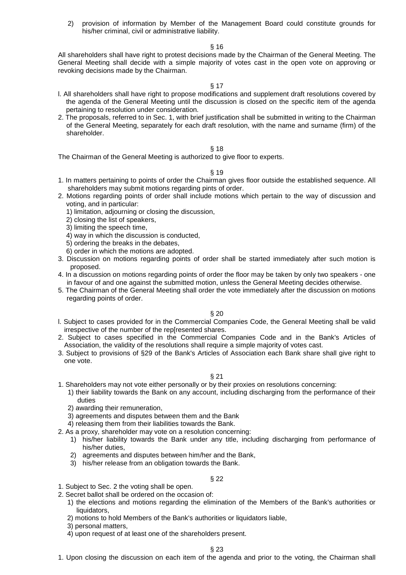2) provision of information by Member of the Management Board could constitute grounds for his/her criminal, civil or administrative liability.

# § 16

All shareholders shall have right to protest decisions made by the Chairman of the General Meeting. The General Meeting shall decide with a simple majority of votes cast in the open vote on approving or revoking decisions made by the Chairman.

#### § 17

- l. All shareholders shall have right to propose modifications and supplement draft resolutions covered by the agenda of the General Meeting until the discussion is closed on the specific item of the agenda pertaining to resolution under consideration.
- 2. The proposals, referred to in Sec. 1, with brief justification shall be submitted in writing to the Chairman of the General Meeting, separately for each draft resolution, with the name and surname (firm) of the shareholder.

#### § 18

The Chairman of the General Meeting is authorized to give floor to experts.

#### § 19

- 1. In matters pertaining to points of order the Chairman gives floor outside the established sequence. All shareholders may submit motions regarding pints of order.
- 2. Motions regarding points of order shall include motions which pertain to the way of discussion and voting, and in particular:
	- 1) limitation, adjourning or closing the discussion,
	- 2) closing the list of speakers,
	- 3) limiting the speech time,
	- 4) way in which the discussion is conducted,
	- 5) ordering the breaks in the debates,
	- 6) order in which the motions are adopted.
- 3. Discussion on motions regarding points of order shall be started immediately after such motion is proposed.
- 4. In a discussion on motions regarding points of order the floor may be taken by only two speakers one in favour of and one against the submitted motion, unless the General Meeting decides otherwise.
- 5. The Chairman of the General Meeting shall order the vote immediately after the discussion on motions regarding points of order.

§ 20

- l. Subject to cases provided for in the Commercial Companies Code, the General Meeting shall be valid irrespective of the number of the rep[resented shares.
- 2. Subject to cases specified in the Commercial Companies Code and in the Bank's Articles of Association, the validity of the resolutions shall require a simple majority of votes cast.
- 3. Subject to provisions of §29 of the Bank's Articles of Association each Bank share shall give right to one vote.

# § 21

- 1. Shareholders may not vote either personally or by their proxies on resolutions concerning:
	- 1) their liability towards the Bank on any account, including discharging from the performance of their duties
		- 2) awarding their remuneration,
		- 3) agreements and disputes between them and the Bank
	- 4) releasing them from their liabilities towards the Bank.
- 2. As a proxy, shareholder may vote on a resolution concerning:
	- 1) his/her liability towards the Bank under any title, including discharging from performance of his/her duties,
	- 2) agreements and disputes between him/her and the Bank,
	- 3) his/her release from an obligation towards the Bank.

# § 22

- 1. Subject to Sec. 2 the voting shall be open.
- 2. Secret ballot shall be ordered on the occasion of:
	- 1) the elections and motions regarding the elimination of the Members of the Bank's authorities or liquidators,
	- 2) motions to hold Members of the Bank's authorities or liquidators liable,
	- 3) personal matters,
	- 4) upon request of at least one of the shareholders present.

# § 23

1. Upon closing the discussion on each item of the agenda and prior to the voting, the Chairman shall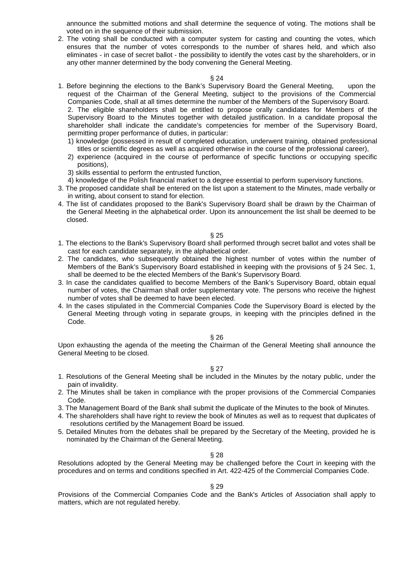announce the submitted motions and shall determine the sequence of voting. The motions shall be voted on in the sequence of their submission.

2. The voting shall be conducted with a computer system for casting and counting the votes, which ensures that the number of votes corresponds to the number of shares held, and which also eliminates - in case of secret ballot - the possibility to identify the votes cast by the shareholders, or in any other manner determined by the body convening the General Meeting.

# § 24

1. Before beginning the elections to the Bank's Supervisory Board the General Meeting, upon the request of the Chairman of the General Meeting, subject to the provisions of the Commercial Companies Code, shall at all times determine the number of the Members of the Supervisory Board. 2. The eligible shareholders shall be entitled to propose orally candidates for Members of the

Supervisory Board to the Minutes together with detailed justification. In a candidate proposal the shareholder shall indicate the candidate's competencies for member of the Supervisory Board, permitting proper performance of duties, in particular:

- 1) knowledge (possessed in result of completed education, underwent training, obtained professional titles or scientific degrees as well as acquired otherwise in the course of the professional career),
- 2) experience (acquired in the course of performance of specific functions or occupying specific positions),
- 3) skills essential to perform the entrusted function,
- 4) knowledge of the Polish financial market to a degree essential to perform supervisory functions.
- 3. The proposed candidate shall be entered on the list upon a statement to the Minutes, made verbally or in writing, about consent to stand for election.
- 4. The list of candidates proposed to the Bank's Supervisory Board shall be drawn by the Chairman of the General Meeting in the alphabetical order. Upon its announcement the list shall be deemed to be closed.

#### § 25

- 1. The elections to the Bank's Supervisory Board shall performed through secret ballot and votes shall be cast for each candidate separately, in the alphabetical order.
- 2. The candidates, who subsequently obtained the highest number of votes within the number of Members of the Bank's Supervisory Board established in keeping with the provisions of § 24 Sec. 1, shall be deemed to be the elected Members of the Bank's Supervisory Board.
- 3. In case the candidates qualified to become Members of the Bank's Supervisory Board, obtain equal number of votes, the Chairman shall order supplementary vote. The persons who receive the highest number of votes shall be deemed to have been elected.
- 4. In the cases stipulated in the Commercial Companies Code the Supervisory Board is elected by the General Meeting through voting in separate groups, in keeping with the principles defined in the Code.

# § 26

Upon exhausting the agenda of the meeting the Chairman of the General Meeting shall announce the General Meeting to be closed.

# § 27

- 1. Resolutions of the General Meeting shall be included in the Minutes by the notary public, under the pain of invalidity.
- 2. The Minutes shall be taken in compliance with the proper provisions of the Commercial Companies Code.
- 3. The Management Board of the Bank shall submit the duplicate of the Minutes to the book of Minutes.
- 4. The shareholders shall have right to review the book of Minutes as well as to request that duplicates of resolutions certified by the Management Board be issued.
- 5. Detailed Minutes from the debates shall be prepared by the Secretary of the Meeting, provided he is nominated by the Chairman of the General Meeting.

§ 28

Resolutions adopted by the General Meeting may be challenged before the Court in keeping with the procedures and on terms and conditions specified in Art. 422-425 of the Commercial Companies Code.

§ 29

Provisions of the Commercial Companies Code and the Bank's Articles of Association shall apply to matters, which are not regulated hereby.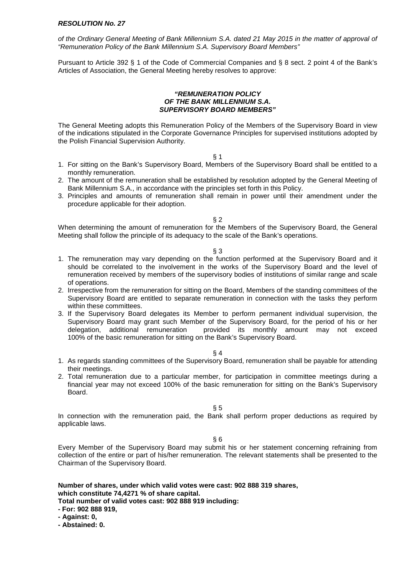of the Ordinary General Meeting of Bank Millennium S.A. dated 21 May 2015 in the matter of approval of "Remuneration Policy of the Bank Millennium S.A. Supervisory Board Members"

Pursuant to Article 392 § 1 of the Code of Commercial Companies and § 8 sect. 2 point 4 of the Bank's Articles of Association, the General Meeting hereby resolves to approve:

#### **"REMUNERATION POLICY OF THE BANK MILLENNIUM S.A. SUPERVISORY BOARD MEMBERS"**

The General Meeting adopts this Remuneration Policy of the Members of the Supervisory Board in view of the indications stipulated in the Corporate Governance Principles for supervised institutions adopted by the Polish Financial Supervision Authority.

 $§$  1

- 1. For sitting on the Bank's Supervisory Board, Members of the Supervisory Board shall be entitled to a monthly remuneration.
- 2. The amount of the remuneration shall be established by resolution adopted by the General Meeting of Bank Millennium S.A., in accordance with the principles set forth in this Policy.
- 3. Principles and amounts of remuneration shall remain in power until their amendment under the procedure applicable for their adoption.

§ 2

When determining the amount of remuneration for the Members of the Supervisory Board, the General Meeting shall follow the principle of its adequacy to the scale of the Bank's operations.

#### § 3

- 1. The remuneration may vary depending on the function performed at the Supervisory Board and it should be correlated to the involvement in the works of the Supervisory Board and the level of remuneration received by members of the supervisory bodies of institutions of similar range and scale of operations.
- 2. Irrespective from the remuneration for sitting on the Board, Members of the standing committees of the Supervisory Board are entitled to separate remuneration in connection with the tasks they perform within these committees.
- 3. If the Supervisory Board delegates its Member to perform permanent individual supervision, the Supervisory Board may grant such Member of the Supervisory Board, for the period of his or her delegation, additional remuneration provided its monthly amount may not exceed 100% of the basic remuneration for sitting on the Bank's Supervisory Board.

#### § 4

- 1. As regards standing committees of the Supervisory Board, remuneration shall be payable for attending their meetings.
- 2. Total remuneration due to a particular member, for participation in committee meetings during a financial year may not exceed 100% of the basic remuneration for sitting on the Bank's Supervisory Board.

§ 5

In connection with the remuneration paid, the Bank shall perform proper deductions as required by applicable laws.

§ 6

Every Member of the Supervisory Board may submit his or her statement concerning refraining from collection of the entire or part of his/her remuneration. The relevant statements shall be presented to the Chairman of the Supervisory Board.

# **Number of shares, under which valid votes were cast: 902 888 319 shares, which constitute 74,4271 % of share capital.**

**Total number of valid votes cast: 902 888 919 including:** 

**- For: 902 888 919,** 

**- Against: 0,** 

**- Abstained: 0.**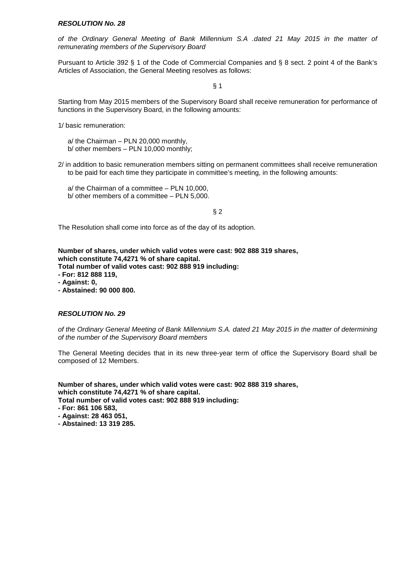of the Ordinary General Meeting of Bank Millennium S.A .dated 21 May 2015 in the matter of remunerating members of the Supervisory Board

Pursuant to Article 392 § 1 of the Code of Commercial Companies and § 8 sect. 2 point 4 of the Bank's Articles of Association, the General Meeting resolves as follows:

§ 1

Starting from May 2015 members of the Supervisory Board shall receive remuneration for performance of functions in the Supervisory Board, in the following amounts:

1/ basic remuneration:

a/ the Chairman – PLN 20,000 monthly, b/ other members – PLN 10,000 monthly;

2/ in addition to basic remuneration members sitting on permanent committees shall receive remuneration to be paid for each time they participate in committee's meeting, in the following amounts:

a/ the Chairman of a committee – PLN 10,000, b/ other members of a committee – PLN 5,000.

§ 2

The Resolution shall come into force as of the day of its adoption.

**Number of shares, under which valid votes were cast: 902 888 319 shares, which constitute 74,4271 % of share capital.** 

**Total number of valid votes cast: 902 888 919 including:** 

- **For: 812 888 119,**
- **Against: 0,**
- **Abstained: 90 000 800.**

# **RESOLUTION No. 29**

of the Ordinary General Meeting of Bank Millennium S.A. dated 21 May 2015 in the matter of determining of the number of the Supervisory Board members

The General Meeting decides that in its new three-year term of office the Supervisory Board shall be composed of 12 Members.

- **For: 861 106 583,**
- **Against: 28 463 051,**
- **Abstained: 13 319 285.**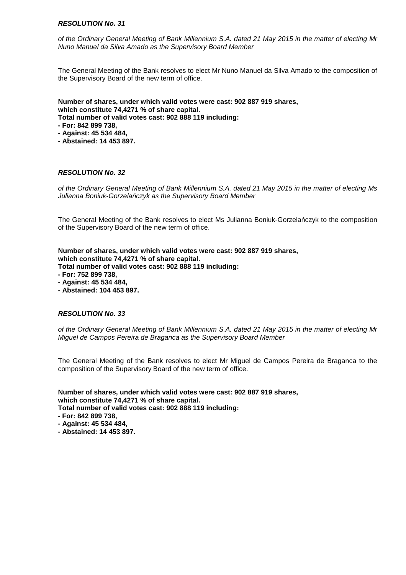of the Ordinary General Meeting of Bank Millennium S.A. dated 21 May 2015 in the matter of electing Mr Nuno Manuel da Silva Amado as the Supervisory Board Member

The General Meeting of the Bank resolves to elect Mr Nuno Manuel da Silva Amado to the composition of the Supervisory Board of the new term of office.

**Number of shares, under which valid votes were cast: 902 887 919 shares, which constitute 74,4271 % of share capital. Total number of valid votes cast: 902 888 119 including:** 

- **For: 842 899 738,**
- **Against: 45 534 484,**
- **Abstained: 14 453 897.**

# **RESOLUTION No. 32**

of the Ordinary General Meeting of Bank Millennium S.A. dated 21 May 2015 in the matter of electing Ms Julianna Boniuk-Gorzela*ń*czyk as the Supervisory Board Member

The General Meeting of the Bank resolves to elect Ms Julianna Boniuk-Gorzelańczyk to the composition of the Supervisory Board of the new term of office.

**Number of shares, under which valid votes were cast: 902 887 919 shares, which constitute 74,4271 % of share capital.** 

**Total number of valid votes cast: 902 888 119 including:** 

- **For: 752 899 738,**
- **Against: 45 534 484,**
- **Abstained: 104 453 897.**

# **RESOLUTION No. 33**

of the Ordinary General Meeting of Bank Millennium S.A. dated 21 May 2015 in the matter of electing Mr Miguel de Campos Pereira de Braganca as the Supervisory Board Member

The General Meeting of the Bank resolves to elect Mr Miguel de Campos Pereira de Braganca to the composition of the Supervisory Board of the new term of office.

**Number of shares, under which valid votes were cast: 902 887 919 shares, which constitute 74,4271 % of share capital.** 

**Total number of valid votes cast: 902 888 119 including:** 

- **For: 842 899 738,**
- **Against: 45 534 484,**
- **Abstained: 14 453 897.**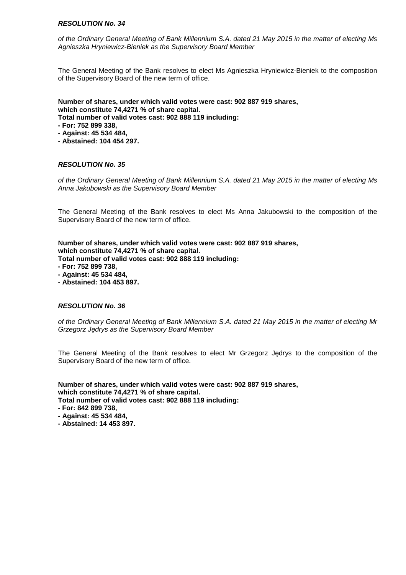of the Ordinary General Meeting of Bank Millennium S.A. dated 21 May 2015 in the matter of electing Ms Agnieszka Hryniewicz-Bieniek as the Supervisory Board Member

The General Meeting of the Bank resolves to elect Ms Agnieszka Hryniewicz-Bieniek to the composition of the Supervisory Board of the new term of office.

**Number of shares, under which valid votes were cast: 902 887 919 shares, which constitute 74,4271 % of share capital. Total number of valid votes cast: 902 888 119 including:** 

- **For: 752 899 338,**
- **Against: 45 534 484,**
- **Abstained: 104 454 297.**

# **RESOLUTION No. 35**

of the Ordinary General Meeting of Bank Millennium S.A. dated 21 May 2015 in the matter of electing Ms Anna Jakubowski as the Supervisory Board Member

The General Meeting of the Bank resolves to elect Ms Anna Jakubowski to the composition of the Supervisory Board of the new term of office.

**Number of shares, under which valid votes were cast: 902 887 919 shares, which constitute 74,4271 % of share capital. Total number of valid votes cast: 902 888 119 including:** 

- **For: 752 899 738,**
- **Against: 45 534 484,**
- **Abstained: 104 453 897.**

# **RESOLUTION No. 36**

of the Ordinary General Meeting of Bank Millennium S.A. dated 21 May 2015 in the matter of electing Mr Grzegorz J*ę*drys as the Supervisory Board Member

The General Meeting of the Bank resolves to elect Mr Grzegorz Jędrys to the composition of the Supervisory Board of the new term of office.

- **For: 842 899 738,**
- **Against: 45 534 484,**
- **Abstained: 14 453 897.**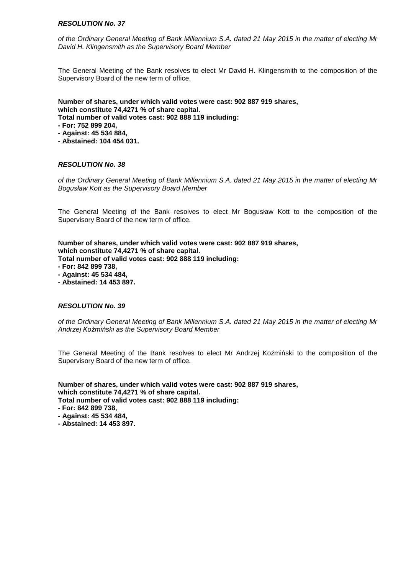of the Ordinary General Meeting of Bank Millennium S.A. dated 21 May 2015 in the matter of electing Mr David H. Klingensmith as the Supervisory Board Member

The General Meeting of the Bank resolves to elect Mr David H. Klingensmith to the composition of the Supervisory Board of the new term of office.

**Number of shares, under which valid votes were cast: 902 887 919 shares, which constitute 74,4271 % of share capital. Total number of valid votes cast: 902 888 119 including:** 

- **For: 752 899 204,**
- **Against: 45 534 884,**
- **Abstained: 104 454 031.**

# **RESOLUTION No. 38**

of the Ordinary General Meeting of Bank Millennium S.A. dated 21 May 2015 in the matter of electing Mr Bogusław Kott as the Supervisory Board Member

The General Meeting of the Bank resolves to elect Mr Bogusław Kott to the composition of the Supervisory Board of the new term of office.

**Number of shares, under which valid votes were cast: 902 887 919 shares, which constitute 74,4271 % of share capital. Total number of valid votes cast: 902 888 119 including:** 

- **For: 842 899 738,**
- **Against: 45 534 484,**
- **Abstained: 14 453 897.**

# **RESOLUTION No. 39**

of the Ordinary General Meeting of Bank Millennium S.A. dated 21 May 2015 in the matter of electing Mr Andrzej Ko*ż*mi*ń*ski as the Supervisory Board Member

The General Meeting of the Bank resolves to elect Mr Andrzej Koźmiński to the composition of the Supervisory Board of the new term of office.

- **For: 842 899 738,**
- **Against: 45 534 484,**
- **Abstained: 14 453 897.**